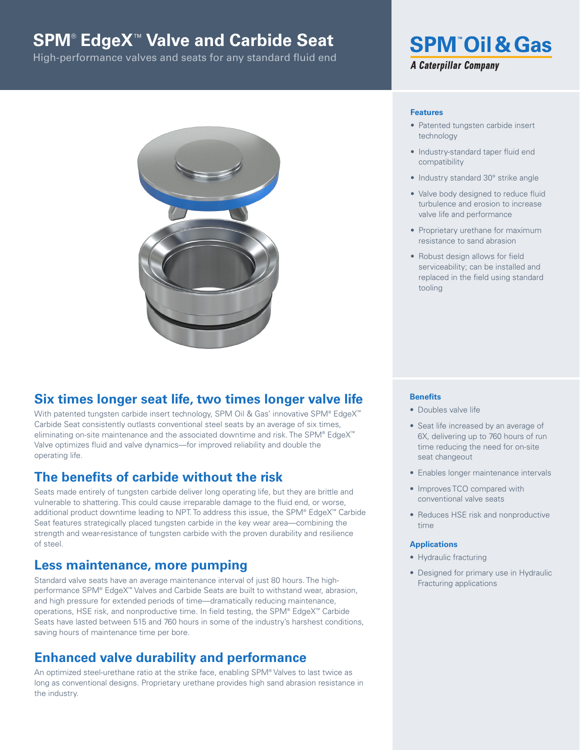# **SPM**® **EdgeX**™ **Valve and Carbide Seat**

High-performance valves and seats for any standard fluid end



## **Six times longer seat life, two times longer valve life**

With patented tungsten carbide insert technology, SPM Oil & Gas' innovative SPM® EdgeX™ Carbide Seat consistently outlasts conventional steel seats by an average of six times, eliminating on-site maintenance and the associated downtime and risk. The SPM® EdgeX™ Valve optimizes fluid and valve dynamics—for improved reliability and double the operating life.

### **The benefits of carbide without the risk**

Seats made entirely of tungsten carbide deliver long operating life, but they are brittle and vulnerable to shattering. This could cause irreparable damage to the fluid end, or worse, additional product downtime leading to NPT. To address this issue, the SPM® EdgeX™ Carbide Seat features strategically placed tungsten carbide in the key wear area—combining the strength and wear-resistance of tungsten carbide with the proven durability and resilience of steel.

### **Less maintenance, more pumping**

Standard valve seats have an average maintenance interval of just 80 hours. The highperformance SPM® EdgeX™ Valves and Carbide Seats are built to withstand wear, abrasion, and high pressure for extended periods of time—dramatically reducing maintenance, operations, HSE risk, and nonproductive time. In field testing, the SPM® EdgeX™ Carbide Seats have lasted between 515 and 760 hours in some of the industry's harshest conditions, saving hours of maintenance time per bore.

## **Enhanced valve durability and performance**

An optimized steel-urethane ratio at the strike face, enabling SPM® Valves to last twice as long as conventional designs. Proprietary urethane provides high sand abrasion resistance in the industry.

## **SPM Oil & Gas A Caterpillar Company**

#### **Features**

- Patented tungsten carbide insert technology
- Industry-standard taper fluid end compatibility
- Industry standard 30° strike angle
- Valve body designed to reduce fluid turbulence and erosion to increase valve life and performance
- Proprietary urethane for maximum resistance to sand abrasion
- Robust design allows for field serviceability; can be installed and replaced in the field using standard tooling

#### **Benefits**

- Doubles valve life
- Seat life increased by an average of 6X, delivering up to 760 hours of run time reducing the need for on-site seat changeout
- Enables longer maintenance intervals
- Improves TCO compared with conventional valve seats
- Reduces HSE risk and nonproductive time

#### **Applications**

- Hydraulic fracturing
- Designed for primary use in Hydraulic Fracturing applications